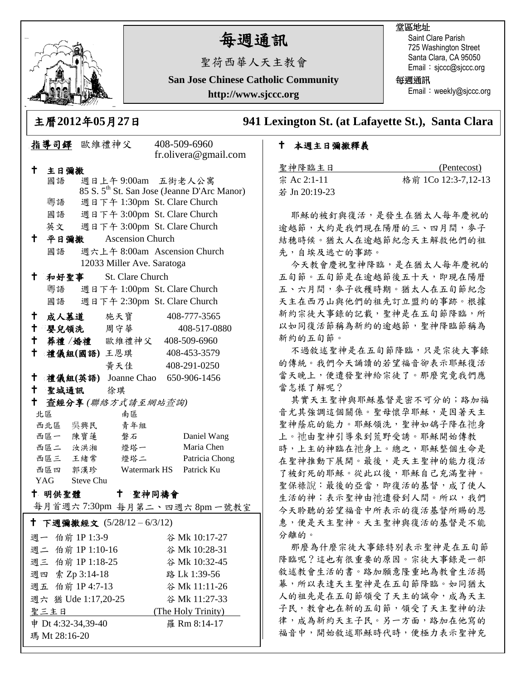

# 每週通訊

聖荷西華人天主教會

**San Jose Chinese Catholic Community**

**http://www.sjccc.org**

### 堂區地址

Saint Clare Parish 725 Washington Street Santa Clara, CA 95050 Email: sjccc@sjccc.org

每週通訊

Email: weekly@sjccc.org

主曆**2012**年**05**月**27**日 **941 Lexington St. (at Lafayette St.), Santa Clara** 

### 本週主日彌撒釋義

| 聖神降臨主日        | (Pentecost)         |
|---------------|---------------------|
| 宗 Ac 2:1-11   | 格前 1Co 12:3-7,12-13 |
| 若 Jn 20:19-23 |                     |

耶穌的被釘與復活,是發生在猶太人每年慶祝的 逾越節,大約是我們現在陽曆的三、四月間,麥子 結穗時候。猶太人在逾越節紀念天主解救他們的祖 先,自埃及逃亡的事跡。

今天教會慶祝聖神降臨,是在猶太人每年慶祝的 五旬節。五旬節是在逾越節後五十天,即現在陽曆 五、六月間,麥子收穫時期。猶太人在五旬節紀念 天主在西乃山與他們的祖先訂立盟約的事跡。根據 新約宗徒大事錄的記載,聖神是在五旬節降臨,所 以如同復活節稱為新約的逾越節,聖神降臨節稱為 新約的五旬節。

不過敘述聖神是在五旬節降臨,只是宗徒大事錄 的傳統。我們今天誦讀的若望福音卻表示耶穌復活 當天晚上,便遣發聖神給宗徒了。那麼究竟我們應 當怎樣了解呢?

其實天主聖神與耶穌基督是密不可分的;路加福 音尤其強調這個關係。聖母懷孕耶穌,是因著天主 聖神蔭庇的能力。耶穌領洗,聖神如鴿子降在祂身 上。祂由聖神引導來到荒野受誘。耶穌開始傳教 時,上主的神臨在祂身上。總之,耶穌整個生命是 在聖神推動下展開。最後,是天主聖神的能力復活 了被釘死的耶穌。從此以後,耶穌自己充滿聖神。 聖保祿說:最後的亞當,即復活的基督,成了使人 生活的神;表示聖神由祂遣發到人間。所以,我們 今天聆聽的若望福音中所表示的復活基督所賜的恩 惠,便是天主聖神。天主聖神與復活的基督是不能 分離的。

那麼為什麼宗徒大事錄特別表示聖神是在五旬節 降臨呢?這也有很重要的原因。宗徒大事錄是一部 敘述教會生活的書。路加願意隆重地為教會生活揭 幕,所以表達天主聖神是在五旬節降臨。如同猶太 人的祖先是在五旬節領受了天主的誡命,成為天主 子民,教會也在新的五旬節,領受了天主聖神的法 律,成為新約天主子民。另一方面,路加在他寫的 福音中,開始敘述耶穌時代時,便極力表示聖神充

|                                                        |                                                            | 指導司鐸 歐維禮神父                                                                    |                              |               | 408-509-6960<br>fr.olivera@gmail.com |  |  |
|--------------------------------------------------------|------------------------------------------------------------|-------------------------------------------------------------------------------|------------------------------|---------------|--------------------------------------|--|--|
| t.,                                                    | 主日彌撒                                                       |                                                                               |                              |               |                                      |  |  |
|                                                        | 國語                                                         |                                                                               |                              |               |                                      |  |  |
|                                                        |                                                            | 週日上午 9:00am 五街老人公寓<br>85 S. 5 <sup>th</sup> St. San Jose (Jeanne D'Arc Manor) |                              |               |                                      |  |  |
|                                                        | 粵語                                                         |                                                                               | 週日下午 1:30pm St. Clare Church |               |                                      |  |  |
|                                                        | 國語                                                         |                                                                               | 週日下午 3:00pm St. Clare Church |               |                                      |  |  |
|                                                        | 英文                                                         |                                                                               |                              |               | 週日下午 3:00pm St. Clare Church         |  |  |
| Ť                                                      | 平日彌撒                                                       | <b>Ascension Church</b>                                                       |                              |               |                                      |  |  |
|                                                        | 國語                                                         |                                                                               |                              |               |                                      |  |  |
|                                                        | 週六上午 8:00am Ascension Church<br>12033 Miller Ave. Saratoga |                                                                               |                              |               |                                      |  |  |
| $^{\dagger}$<br>和好聖事<br><b>St. Clare Church</b>        |                                                            |                                                                               |                              |               |                                      |  |  |
|                                                        | 粵語                                                         | 週日下午 1:00pm St. Clare Church                                                  |                              |               |                                      |  |  |
|                                                        |                                                            | 國語 週日下午 2:30pm St. Clare Church                                               |                              |               |                                      |  |  |
|                                                        |                                                            |                                                                               |                              |               |                                      |  |  |
| $\mathsf{t}^-$                                         |                                                            |                                                                               |                              |               | 成人慕道 施天寶 408-777-3565                |  |  |
| $^{\dagger}$                                           |                                                            |                                                                               | 嬰兒領洗 周守華                     |               | 408-517-0880                         |  |  |
|                                                        |                                                            |                                                                               | + 葬禮/婚禮 歐維禮神父 408-509-6960   |               |                                      |  |  |
| $^{\dagger}$                                           |                                                            |                                                                               | 禮儀組(國語) 王恩琪                  |               | 408-453-3579                         |  |  |
|                                                        |                                                            |                                                                               |                              |               | 黃天佳 408-291-0250                     |  |  |
| $^{\dagger}$                                           |                                                            |                                                                               |                              |               | 禮儀組(英語) Joanne Chao 650-906-1456     |  |  |
|                                                        |                                                            | 十 聖城通訊 徐琪                                                                     |                              |               |                                      |  |  |
| t<br>查經分享(聯絡方式請至網站查詢)                                  |                                                            |                                                                               |                              |               |                                      |  |  |
|                                                        | 北區                                                         |                                                                               | 南區                           |               |                                      |  |  |
|                                                        | 西北區 吳興民                                                    |                                                                               | 青年組                          |               |                                      |  |  |
|                                                        | 西區一 陳寶蓮                                                    |                                                                               | 磐石                           |               | Daniel Wang                          |  |  |
|                                                        | 西區二 汝洪湘                                                    |                                                                               | 燈塔一                          |               | Maria Chen                           |  |  |
|                                                        | 西區三 王緒常                                                    |                                                                               | 燈塔二                          |               | Patricia Chong                       |  |  |
| 西區四 郭漢珍<br>Watermark HS Patrick Ku                     |                                                            |                                                                               |                              |               |                                      |  |  |
| YAG Steve Chu                                          |                                                            |                                                                               |                              |               |                                      |  |  |
| † 明供聖體<br>$^+$<br>聖神同禱會<br>每月首週六7:30pm 每月第二、四週六8pm一號教室 |                                                            |                                                                               |                              |               |                                      |  |  |
|                                                        |                                                            |                                                                               |                              |               |                                      |  |  |
| † 下週彌撒經文 (5/28/12−6/3/12)                              |                                                            |                                                                               |                              |               |                                      |  |  |
| 週一 伯前 1P 1:3-9<br>谷 Mk 10:17-27                        |                                                            |                                                                               |                              |               |                                      |  |  |
| 週二 伯前 1P 1:10-16                                       |                                                            |                                                                               | 谷 Mk 10:28-31                |               |                                      |  |  |
| 週三 伯前 1P 1:18-25                                       |                                                            |                                                                               |                              | 谷 Mk 10:32-45 |                                      |  |  |
| 週四 索 Zp 3:14-18                                        |                                                            |                                                                               |                              | 路 Lk 1:39-56  |                                      |  |  |
| 週五 伯前 1P 4:7-13<br>谷 Mk 11:11-26                       |                                                            |                                                                               |                              |               |                                      |  |  |
| 週六 猶 Ude 1:17,20-25<br>谷 Mk 11:27-33                   |                                                            |                                                                               |                              |               |                                      |  |  |
| (The Holy Trinity)<br>聖三主日                             |                                                            |                                                                               |                              |               |                                      |  |  |
|                                                        | 申 Dt 4:32-34,39-40                                         |                                                                               |                              | 羅 Rm 8:14-17  |                                      |  |  |

+<br>瑪 Mt 28:16-20